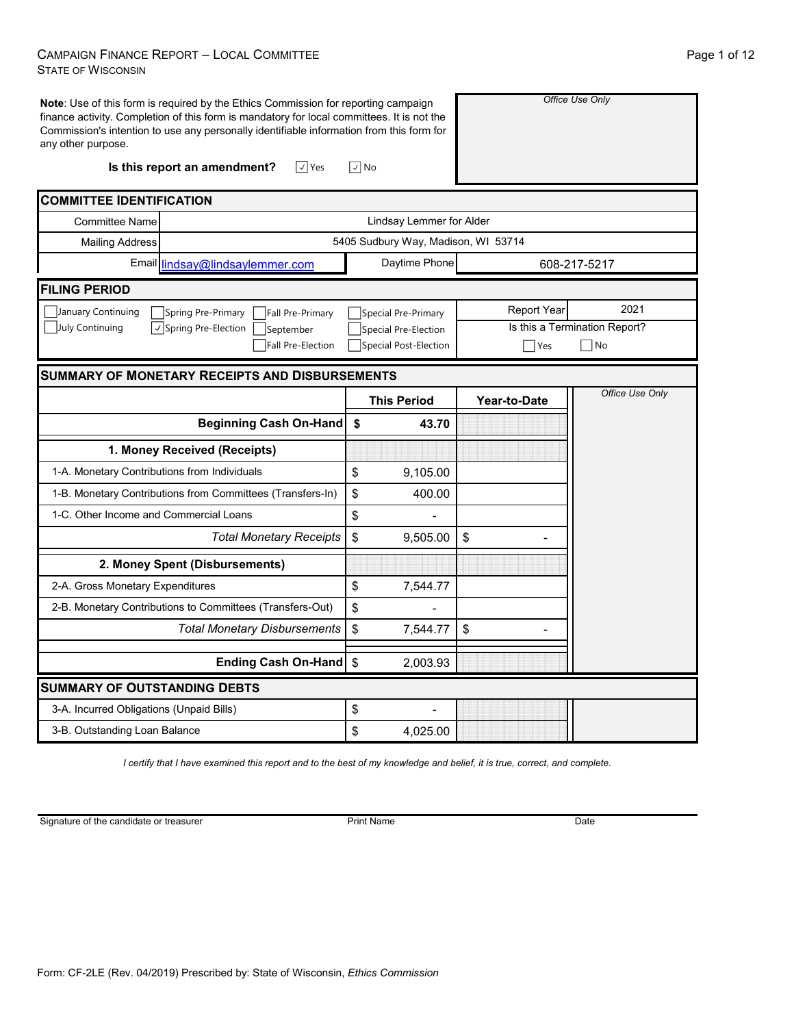#### CAMPAIGN FINANCE REPORT – LOCAL COMMITTEE STATE OF WISCONSIN

| <b>Note:</b> Use of this form is required by the Ethics Commission for reporting campaign<br>finance activity. Completion of this form is mandatory for local committees. It is not the<br>Commission's intention to use any personally identifiable information from this form for<br>any other purpose. |                                     |                    | Office Use Only               |
|-----------------------------------------------------------------------------------------------------------------------------------------------------------------------------------------------------------------------------------------------------------------------------------------------------------|-------------------------------------|--------------------|-------------------------------|
| $\sqrt{ }$ Yes<br>Is this report an amendment?                                                                                                                                                                                                                                                            | $\sqrt{2}$ No                       |                    |                               |
| <b>COMMITTEE IDENTIFICATION</b>                                                                                                                                                                                                                                                                           |                                     |                    |                               |
| <b>Committee Name</b>                                                                                                                                                                                                                                                                                     | Lindsay Lemmer for Alder            |                    |                               |
| <b>Mailing Address</b>                                                                                                                                                                                                                                                                                    | 5405 Sudbury Way, Madison, WI 53714 |                    |                               |
| Email lindsay@lindsaylemmer.com                                                                                                                                                                                                                                                                           | Daytime Phone                       |                    | 608-217-5217                  |
| <b>FILING PERIOD</b>                                                                                                                                                                                                                                                                                      |                                     |                    |                               |
| January Continuing<br>Spring Pre-Primary<br>Fall Pre-Primary                                                                                                                                                                                                                                              | Special Pre-Primary                 | <b>Report Year</b> | 2021                          |
| July Continuing<br>$\vert \vee \vert$ Spring Pre-Election<br>September                                                                                                                                                                                                                                    | Special Pre-Election                |                    | Is this a Termination Report? |
| Fall Pre-Election                                                                                                                                                                                                                                                                                         | Special Post-Election               | $\blacksquare$ Yes | $\neg$ No                     |
| <b>SUMMARY OF MONETARY RECEIPTS AND DISBURSEMENTS</b>                                                                                                                                                                                                                                                     |                                     |                    |                               |
|                                                                                                                                                                                                                                                                                                           | <b>This Period</b>                  | Year-to-Date       | Office Use Only               |
| <b>Beginning Cash On-Hand</b>                                                                                                                                                                                                                                                                             | \$<br>43.70                         |                    |                               |
| 1. Money Received (Receipts)                                                                                                                                                                                                                                                                              |                                     |                    |                               |
| 1-A. Monetary Contributions from Individuals                                                                                                                                                                                                                                                              | \$<br>9,105.00                      |                    |                               |
| 1-B. Monetary Contributions from Committees (Transfers-In)                                                                                                                                                                                                                                                | \$<br>400.00                        |                    |                               |
| 1-C. Other Income and Commercial Loans                                                                                                                                                                                                                                                                    | \$                                  |                    |                               |
| <b>Total Monetary Receipts</b>                                                                                                                                                                                                                                                                            | \$<br>9,505.00                      | \$                 |                               |
| 2. Money Spent (Disbursements)                                                                                                                                                                                                                                                                            |                                     |                    |                               |
| 2-A. Gross Monetary Expenditures                                                                                                                                                                                                                                                                          | \$<br>7,544.77                      |                    |                               |
| 2-B. Monetary Contributions to Committees (Transfers-Out)                                                                                                                                                                                                                                                 | \$                                  |                    |                               |
| <b>Total Monetary Disbursements</b>                                                                                                                                                                                                                                                                       | \$<br>7,544.77                      | \$                 |                               |
| <b>Ending Cash On-Hand</b>                                                                                                                                                                                                                                                                                | \$<br>2,003.93                      |                    |                               |
| SUMMARY OF OUTSTANDING DEBTS                                                                                                                                                                                                                                                                              |                                     |                    |                               |
| 3-A. Incurred Obligations (Unpaid Bills)                                                                                                                                                                                                                                                                  | \$                                  |                    |                               |
| 3-B. Outstanding Loan Balance                                                                                                                                                                                                                                                                             | \$<br>4,025.00                      |                    |                               |

*I certify that I have examined this report and to the best of my knowledge and belief, it is true, correct, and complete.*

Signature of the candidate or treasurer

Print Name Date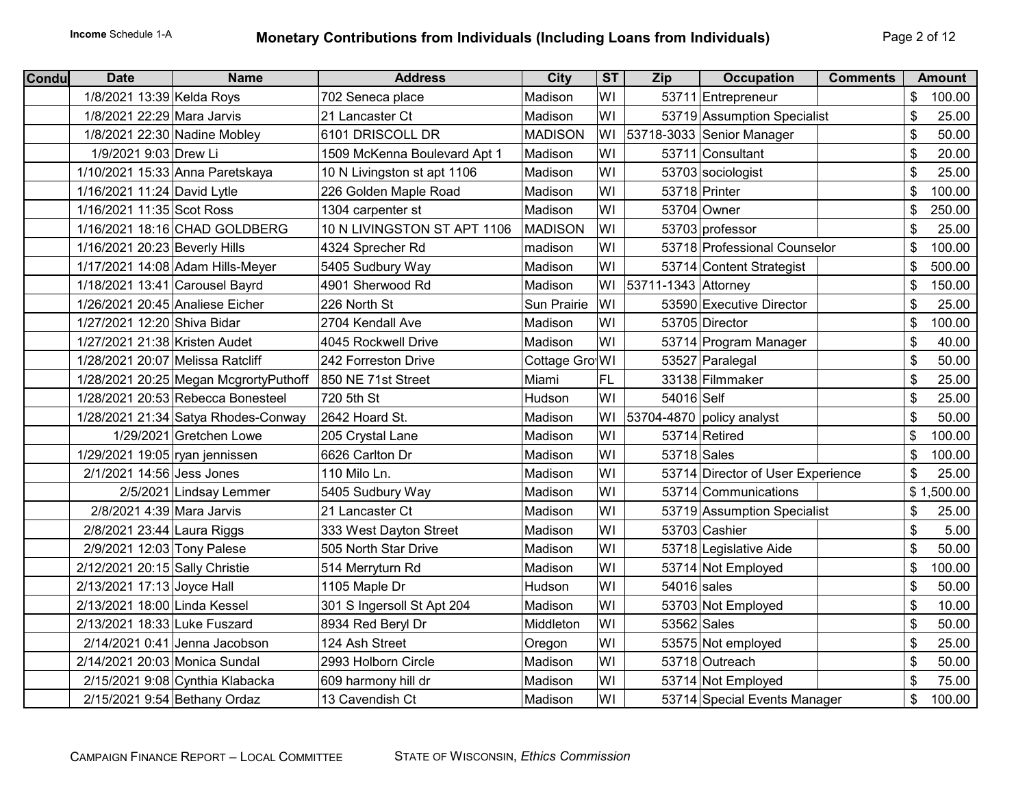| <b>Condu</b> | <b>Date</b>                      | <b>Name</b>                           | <b>Address</b>               | <b>City</b>    | ST  | <b>Zip</b>          | <b>Occupation</b>                 | <b>Comments</b> | <b>Amount</b> |
|--------------|----------------------------------|---------------------------------------|------------------------------|----------------|-----|---------------------|-----------------------------------|-----------------|---------------|
|              | 1/8/2021 13:39 Kelda Roys        |                                       | 702 Seneca place             | Madison        | WI  |                     | 53711 Entrepreneur                |                 | \$<br>100.00  |
|              | 1/8/2021 22:29 Mara Jarvis       |                                       | 21 Lancaster Ct              | Madison        | WI  |                     | 53719 Assumption Specialist       |                 | \$<br>25.00   |
|              | 1/8/2021 22:30 Nadine Mobley     |                                       | 6101 DRISCOLL DR             | <b>MADISON</b> |     |                     | WI 53718-3033 Senior Manager      |                 | \$<br>50.00   |
|              | 1/9/2021 9:03 Drew Li            |                                       | 1509 McKenna Boulevard Apt 1 | Madison        | WI  |                     | 53711 Consultant                  |                 | \$<br>20.00   |
|              |                                  | 1/10/2021 15:33 Anna Paretskaya       | 10 N Livingston st apt 1106  | Madison        | WI  |                     | 53703 sociologist                 |                 | \$<br>25.00   |
|              | 1/16/2021 11:24 David Lytle      |                                       | 226 Golden Maple Road        | Madison        | WI  |                     | 53718 Printer                     |                 | \$<br>100.00  |
|              | 1/16/2021 11:35 Scot Ross        |                                       | 1304 carpenter st            | Madison        | WI  |                     | 53704 Owner                       |                 | \$<br>250.00  |
|              |                                  | 1/16/2021 18:16 CHAD GOLDBERG         | 10 N LIVINGSTON ST APT 1106  | <b>MADISON</b> | WI  |                     | 53703 professor                   |                 | \$<br>25.00   |
|              | 1/16/2021 20:23 Beverly Hills    |                                       | 4324 Sprecher Rd             | madison        | WI  |                     | 53718 Professional Counselor      |                 | \$<br>100.00  |
|              |                                  | 1/17/2021 14:08 Adam Hills-Meyer      | 5405 Sudbury Way             | Madison        | WI  |                     | 53714 Content Strategist          |                 | \$<br>500.00  |
|              | 1/18/2021 13:41 Carousel Bayrd   |                                       | 4901 Sherwood Rd             | Madison        | WI  | 53711-1343 Attorney |                                   |                 | \$<br>150.00  |
|              | 1/26/2021 20:45 Analiese Eicher  |                                       | 226 North St                 | Sun Prairie    | WI  |                     | 53590 Executive Director          |                 | \$<br>25.00   |
|              | 1/27/2021 12:20 Shiva Bidar      |                                       | 2704 Kendall Ave             | Madison        | WI  |                     | 53705 Director                    |                 | \$<br>100.00  |
|              | 1/27/2021 21:38 Kristen Audet    |                                       | 4045 Rockwell Drive          | Madison        | WI  |                     | 53714 Program Manager             |                 | \$<br>40.00   |
|              | 1/28/2021 20:07 Melissa Ratcliff |                                       | 242 Forreston Drive          | Cottage Gro WI |     |                     | 53527 Paralegal                   |                 | \$<br>50.00   |
|              |                                  | 1/28/2021 20:25 Megan McgrortyPuthoff | 850 NE 71st Street           | Miami          | FL. |                     | 33138 Filmmaker                   |                 | \$<br>25.00   |
|              |                                  | 1/28/2021 20:53 Rebecca Bonesteel     | 720 5th St                   | Hudson         | WI  | 54016 Self          |                                   |                 | \$<br>25.00   |
|              |                                  | 1/28/2021 21:34 Satya Rhodes-Conway   | 2642 Hoard St.               | Madison        | WI  |                     | 53704-4870 policy analyst         |                 | \$<br>50.00   |
|              |                                  | 1/29/2021 Gretchen Lowe               | 205 Crystal Lane             | Madison        | WI  |                     | 53714 Retired                     |                 | \$<br>100.00  |
|              | 1/29/2021 19:05 ryan jennissen   |                                       | 6626 Carlton Dr              | Madison        | WI  | 53718 Sales         |                                   |                 | \$<br>100.00  |
|              | 2/1/2021 14:56 Jess Jones        |                                       | 110 Milo Ln.                 | Madison        | WI  |                     | 53714 Director of User Experience |                 | \$<br>25.00   |
|              |                                  | 2/5/2021 Lindsay Lemmer               | 5405 Sudbury Way             | Madison        | WI  |                     | 53714 Communications              |                 | \$1,500.00    |
|              | 2/8/2021 4:39 Mara Jarvis        |                                       | 21 Lancaster Ct              | Madison        | WI  |                     | 53719 Assumption Specialist       |                 | \$<br>25.00   |
|              | 2/8/2021 23:44 Laura Riggs       |                                       | 333 West Dayton Street       | Madison        | WI  |                     | 53703 Cashier                     |                 | \$<br>5.00    |
|              | 2/9/2021 12:03 Tony Palese       |                                       | 505 North Star Drive         | Madison        | WI  |                     | 53718 Legislative Aide            |                 | \$<br>50.00   |
|              | 2/12/2021 20:15 Sally Christie   |                                       | 514 Merryturn Rd             | Madison        | WI  |                     | 53714 Not Employed                |                 | \$<br>100.00  |
|              | 2/13/2021 17:13 Joyce Hall       |                                       | 1105 Maple Dr                | Hudson         | WI  | $54016$ sales       |                                   |                 | \$<br>50.00   |
|              | 2/13/2021 18:00 Linda Kessel     |                                       | 301 S Ingersoll St Apt 204   | Madison        | WI  |                     | 53703 Not Employed                |                 | \$<br>10.00   |
|              | 2/13/2021 18:33 Luke Fuszard     |                                       | 8934 Red Beryl Dr            | Middleton      | WI  | 53562 Sales         |                                   |                 | \$<br>50.00   |
|              |                                  | 2/14/2021 0:41 Jenna Jacobson         | 124 Ash Street               | Oregon         | WI  |                     | 53575 Not employed                |                 | \$<br>25.00   |
|              | 2/14/2021 20:03 Monica Sundal    |                                       | 2993 Holborn Circle          | Madison        | WI  |                     | 53718 Outreach                    |                 | \$<br>50.00   |
|              |                                  | 2/15/2021 9:08 Cynthia Klabacka       | 609 harmony hill dr          | Madison        | WI  |                     | 53714 Not Employed                |                 | \$<br>75.00   |
|              | 2/15/2021 9:54 Bethany Ordaz     |                                       | 13 Cavendish Ct              | Madison        | WI  |                     | 53714 Special Events Manager      |                 | \$<br>100.00  |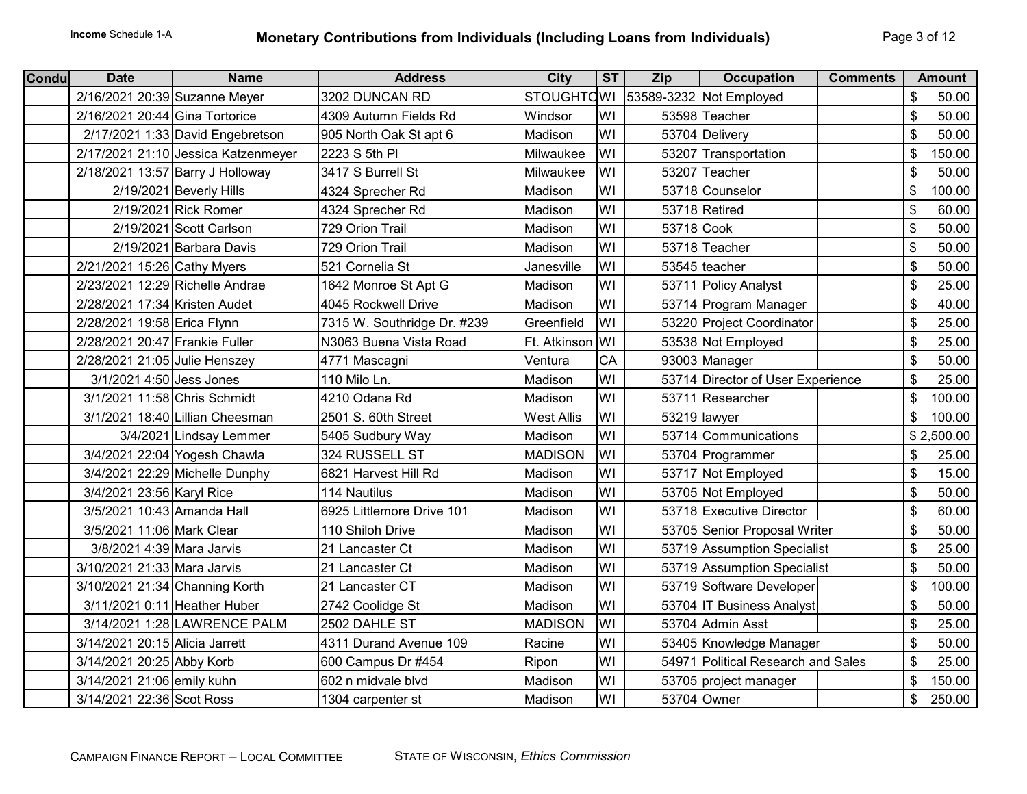| <b>Condu</b> | <b>Date</b>                     | <b>Name</b>                         | <b>Address</b>              | <b>City</b>       | ST | Zip        | <b>Occupation</b><br><b>Comments</b> |    | <b>Amount</b> |
|--------------|---------------------------------|-------------------------------------|-----------------------------|-------------------|----|------------|--------------------------------------|----|---------------|
|              | 2/16/2021 20:39 Suzanne Meyer   |                                     | 3202 DUNCAN RD              | <b>STOUGHTCWI</b> |    |            | 53589-3232 Not Employed              | \$ | 50.00         |
|              | 2/16/2021 20:44 Gina Tortorice  |                                     | 4309 Autumn Fields Rd       | Windsor           | WI |            | 53598 Teacher                        | \$ | 50.00         |
|              |                                 | 2/17/2021 1:33 David Engebretson    | 905 North Oak St apt 6      | Madison           | WI |            | 53704 Delivery                       | \$ | 50.00         |
|              |                                 | 2/17/2021 21:10 Jessica Katzenmeyer | 2223 S 5th PI               | Milwaukee         | WI |            | 53207 Transportation                 | \$ | 150.00        |
|              |                                 | 2/18/2021 13:57 Barry J Holloway    | 3417 S Burrell St           | Milwaukee         | WI |            | 53207 Teacher                        | \$ | 50.00         |
|              |                                 | 2/19/2021 Beverly Hills             | 4324 Sprecher Rd            | Madison           | WI |            | 53718 Counselor                      | \$ | 100.00        |
|              |                                 | 2/19/2021 Rick Romer                | 4324 Sprecher Rd            | Madison           | WI |            | 53718 Retired                        | \$ | 60.00         |
|              |                                 | 2/19/2021 Scott Carlson             | 729 Orion Trail             | Madison           | WI | 53718 Cook |                                      | \$ | 50.00         |
|              |                                 | 2/19/2021 Barbara Davis             | 729 Orion Trail             | Madison           | WI |            | 53718 Teacher                        | \$ | 50.00         |
|              | 2/21/2021 15:26 Cathy Myers     |                                     | 521 Cornelia St             | Janesville        | WI |            | 53545 teacher                        | \$ | 50.00         |
|              | 2/23/2021 12:29 Richelle Andrae |                                     | 1642 Monroe St Apt G        | Madison           | WI |            | 53711 Policy Analyst                 | \$ | 25.00         |
|              | 2/28/2021 17:34 Kristen Audet   |                                     | 4045 Rockwell Drive         | Madison           | WI |            | 53714 Program Manager                | \$ | 40.00         |
|              | 2/28/2021 19:58 Erica Flynn     |                                     | 7315 W. Southridge Dr. #239 | Greenfield        | WI |            | 53220 Project Coordinator            | \$ | 25.00         |
|              | 2/28/2021 20:47 Frankie Fuller  |                                     | N3063 Buena Vista Road      | Ft. Atkinson WI   |    |            | 53538 Not Employed                   | \$ | 25.00         |
|              | 2/28/2021 21:05 Julie Henszey   |                                     | 4771 Mascagni               | Ventura           | CA |            | 93003 Manager                        | \$ | 50.00         |
|              | 3/1/2021 4:50 Jess Jones        |                                     | 110 Milo Ln.                | Madison           | WI |            | 53714 Director of User Experience    | \$ | 25.00         |
|              | 3/1/2021 11:58 Chris Schmidt    |                                     | 4210 Odana Rd               | Madison           | WI |            | 53711 Researcher                     | \$ | 100.00        |
|              |                                 | 3/1/2021 18:40 Lillian Cheesman     | 2501 S. 60th Street         | <b>West Allis</b> | WI |            | 53219 lawyer                         | \$ | 100.00        |
|              |                                 | 3/4/2021 Lindsay Lemmer             | 5405 Sudbury Way            | Madison           | WI |            | 53714 Communications                 |    | \$2,500.00    |
|              |                                 | 3/4/2021 22:04 Yogesh Chawla        | 324 RUSSELL ST              | <b>MADISON</b>    | WI |            | 53704 Programmer                     | \$ | 25.00         |
|              |                                 | 3/4/2021 22:29 Michelle Dunphy      | 6821 Harvest Hill Rd        | Madison           | WI |            | 53717 Not Employed                   | \$ | 15.00         |
|              | 3/4/2021 23:56 Karyl Rice       |                                     | 114 Nautilus                | Madison           | WI |            | 53705 Not Employed                   | \$ | 50.00         |
|              | 3/5/2021 10:43 Amanda Hall      |                                     | 6925 Littlemore Drive 101   | Madison           | WI |            | 53718 Executive Director             | \$ | 60.00         |
|              | 3/5/2021 11:06 Mark Clear       |                                     | 110 Shiloh Drive            | Madison           | WI |            | 53705 Senior Proposal Writer         | \$ | 50.00         |
|              | 3/8/2021 4:39 Mara Jarvis       |                                     | 21 Lancaster Ct             | Madison           | WI |            | 53719 Assumption Specialist          | \$ | 25.00         |
|              | 3/10/2021 21:33 Mara Jarvis     |                                     | 21 Lancaster Ct             | Madison           | WI |            | 53719 Assumption Specialist          | \$ | 50.00         |
|              | 3/10/2021 21:34 Channing Korth  |                                     | 21 Lancaster CT             | Madison           | WI |            | 53719 Software Developer             | \$ | 100.00        |
|              | 3/11/2021 0:11 Heather Huber    |                                     | 2742 Coolidge St            | Madison           | WI |            | 53704 IT Business Analyst            | \$ | 50.00         |
|              |                                 | 3/14/2021 1:28 LAWRENCE PALM        | 2502 DAHLE ST               | <b>MADISON</b>    | WI |            | 53704 Admin Asst                     | \$ | 25.00         |
|              | 3/14/2021 20:15 Alicia Jarrett  |                                     | 4311 Durand Avenue 109      | Racine            | WI |            | 53405 Knowledge Manager              | \$ | 50.00         |
|              | 3/14/2021 20:25 Abby Korb       |                                     | 600 Campus Dr #454          | Ripon             | WI |            | 54971 Political Research and Sales   | \$ | 25.00         |
|              | 3/14/2021 21:06 emily kuhn      |                                     | 602 n midvale blvd          | Madison           | WI |            | 53705 project manager                | \$ | 150.00        |
|              | 3/14/2021 22:36 Scot Ross       |                                     | 1304 carpenter st           | Madison           | WI |            | 53704 Owner                          | \$ | 250.00        |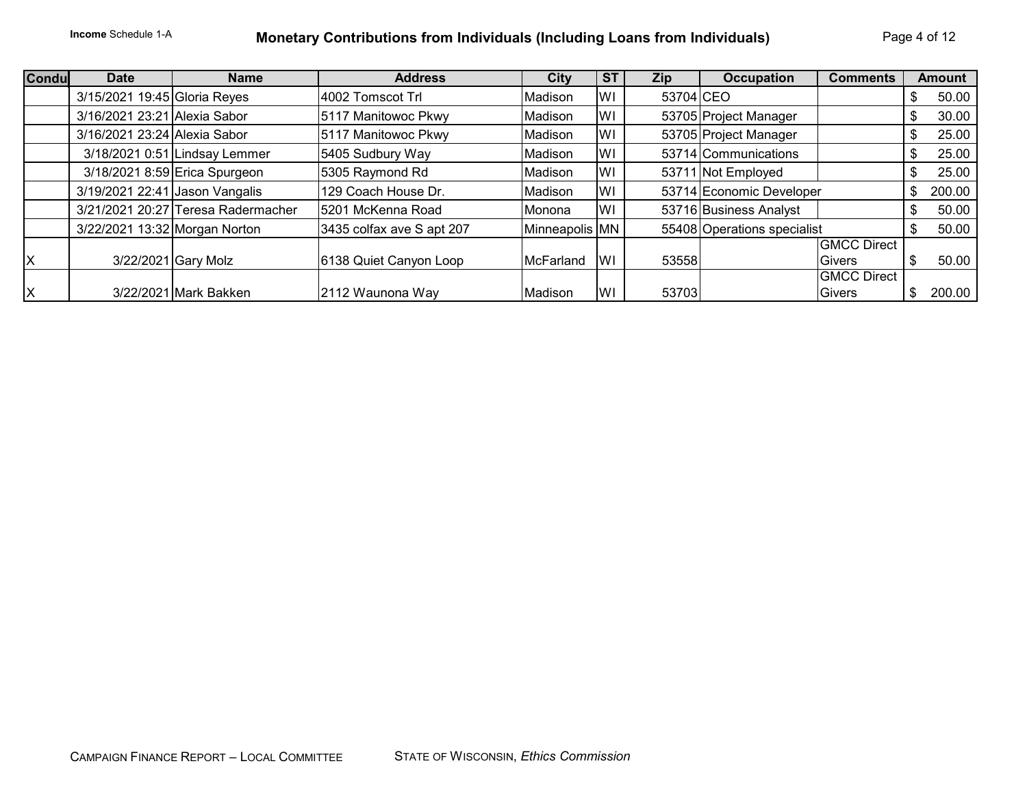# **Income** Schedule 1-A **Monetary Contributions from Individuals (Including Loans from Individuals)** Page 4 of 12

| <b>Condu</b> | <b>Date</b>                    | <b>Name</b>                        | <b>Address</b>            | City           | <b>ST</b> | Zip       | <b>Occupation</b><br><b>Comments</b> | <b>Amount</b> |
|--------------|--------------------------------|------------------------------------|---------------------------|----------------|-----------|-----------|--------------------------------------|---------------|
|              | 3/15/2021 19:45 Gloria Reyes   |                                    | 4002 Tomscot Trl          | Madison        | lwı       | 53704 CEO |                                      | 50.00         |
|              | 3/16/2021 23:21 Alexia Sabor   |                                    | 5117 Manitowoc Pkwy       | Madison        | lwı       |           | 53705 Project Manager                | 30.00         |
|              | 3/16/2021 23:24 Alexia Sabor   |                                    | 5117 Manitowoc Pkwy       | Madison        | lwı       |           | 53705 Project Manager                | 25.00         |
|              |                                | 3/18/2021 0:51 Lindsay Lemmer      | 5405 Sudbury Way          | Madison        | WI        |           | 53714 Communications                 | 25.00         |
|              |                                | 3/18/2021 8:59 Erica Spurgeon      | 5305 Raymond Rd           | Madison        | lWI       |           | 53711 Not Employed                   | 25.00         |
|              | 3/19/2021 22:41 Jason Vangalis |                                    | 129 Coach House Dr.       | Madison        | lWI       |           | 53714 Economic Developer             | 200.00        |
|              |                                | 3/21/2021 20:27 Teresa Radermacher | 5201 McKenna Road         | Monona         | lWI       |           | 53716 Business Analyst               | 50.00         |
|              | 3/22/2021 13:32 Morgan Norton  |                                    | 3435 colfax ave S apt 207 | Minneapolis MN |           |           | 55408 Operations specialist          | 50.00         |
|              |                                |                                    |                           |                |           |           | <b>GMCC Direct</b>                   |               |
| ΙX           |                                | 3/22/2021 Gary Molz                | 6138 Quiet Canyon Loop    | McFarland      | lWI       | 53558     | <b>Givers</b>                        | 50.00         |
|              |                                |                                    |                           |                |           |           | <b>GMCC Direct</b>                   |               |
| İΧ           |                                | 3/22/2021 Mark Bakken              | 2112 Waunona Way          | Madison        | lWI       | 53703     | <b>Givers</b>                        | 200.00        |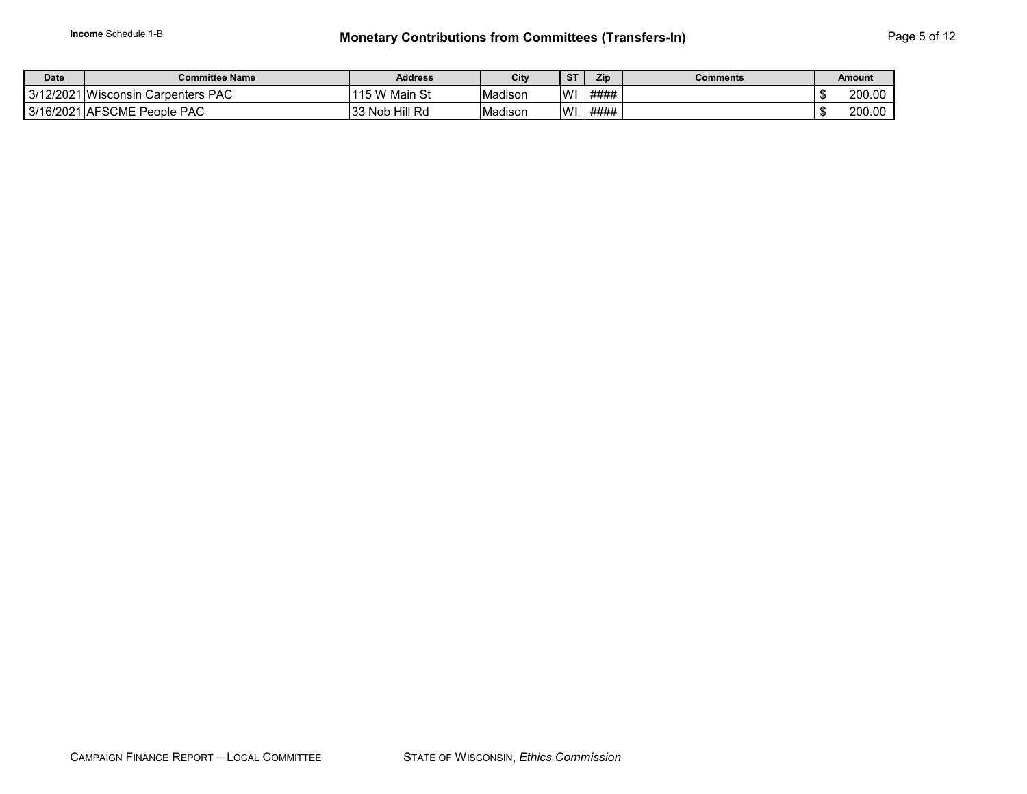| <b>Date</b> | <b>Committee Name</b>                   | <b>Address</b> | City    | $C$ T        | Zip  | Comments | Amount |
|-------------|-----------------------------------------|----------------|---------|--------------|------|----------|--------|
|             | 3/12/2021 Wisconsin<br>. Carpenters PAC | 115 W Main St  | Madison | $\mathsf{M}$ | #### |          | 200.00 |
|             | 3/16/2021 AFSCME People PAC             | 33 Nob Hill Rd | Madison | WI           | #### |          | 200.00 |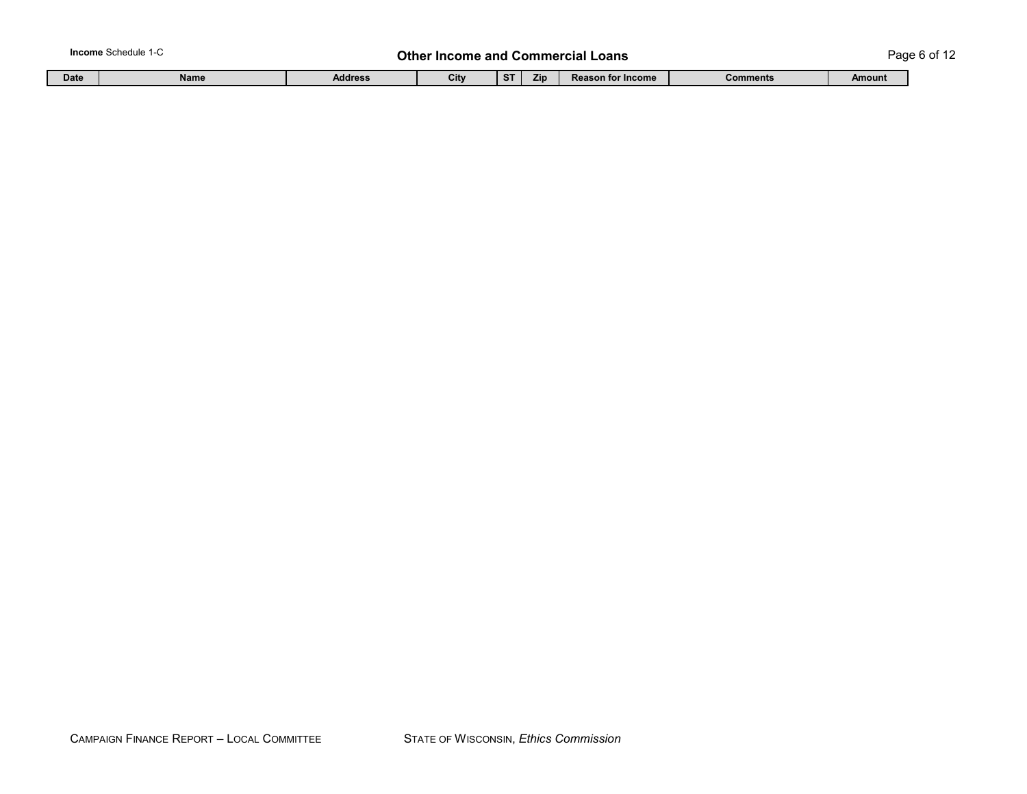#### **Income** Schedule 1-C **Page 6 of 12 Other Income and Commercial Loans** Page 6 of 12

|  | Date | <b>Name</b> | Address | City |  | 7in | <b>MICOME</b><br><b>Reason for I</b> | <b>Comments</b> | <b>Amount</b> |
|--|------|-------------|---------|------|--|-----|--------------------------------------|-----------------|---------------|
|--|------|-------------|---------|------|--|-----|--------------------------------------|-----------------|---------------|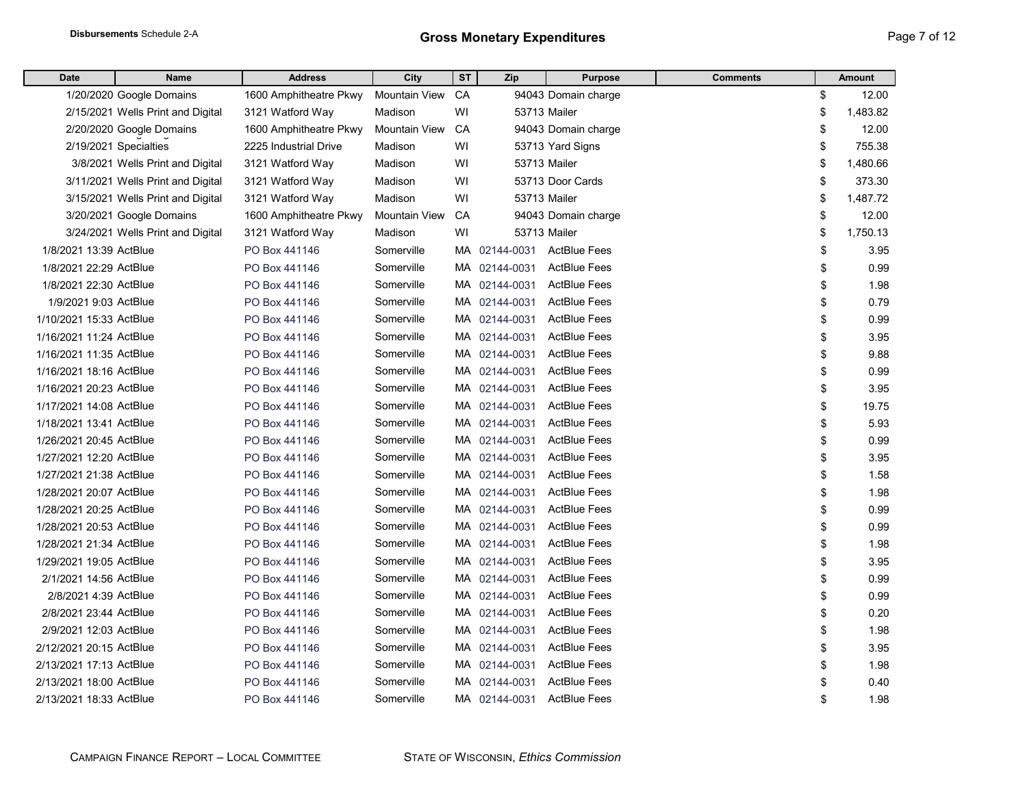| <b>Date</b>             | <b>Name</b>                       | <b>Address</b>         | City                 | ST | Zip           | <b>Purpose</b>      | <b>Comments</b> | <b>Amount</b>  |
|-------------------------|-----------------------------------|------------------------|----------------------|----|---------------|---------------------|-----------------|----------------|
|                         | 1/20/2020 Google Domains          | 1600 Amphitheatre Pkwy | <b>Mountain View</b> | CA |               | 94043 Domain charge |                 | \$<br>12.00    |
|                         | 2/15/2021 Wells Print and Digital | 3121 Watford Way       | Madison              | WI |               | 53713 Mailer        |                 | \$<br>1,483.82 |
|                         | 2/20/2020 Google Domains          | 1600 Amphitheatre Pkwy | Mountain View        | CA |               | 94043 Domain charge |                 | \$<br>12.00    |
|                         | 2/19/2021 Specialties             | 2225 Industrial Drive  | Madison              | WI |               | 53713 Yard Signs    |                 | \$<br>755.38   |
|                         | 3/8/2021 Wells Print and Digital  | 3121 Watford Way       | Madison              | WI |               | <b>53713 Mailer</b> |                 | \$<br>1,480.66 |
|                         | 3/11/2021 Wells Print and Digital | 3121 Watford Way       | Madison              | WI |               | 53713 Door Cards    |                 | \$<br>373.30   |
|                         | 3/15/2021 Wells Print and Digital | 3121 Watford Way       | Madison              | WI |               | <b>53713 Mailer</b> |                 | \$<br>1,487.72 |
|                         | 3/20/2021 Google Domains          | 1600 Amphitheatre Pkwy | <b>Mountain View</b> | CA |               | 94043 Domain charge |                 | \$<br>12.00    |
|                         | 3/24/2021 Wells Print and Digital | 3121 Watford Way       | Madison              | WI |               | 53713 Mailer        |                 | \$<br>1,750.13 |
| 1/8/2021 13:39 ActBlue  |                                   | PO Box 441146          | Somerville           |    | MA 02144-0031 | <b>ActBlue Fees</b> |                 | \$<br>3.95     |
| 1/8/2021 22:29 ActBlue  |                                   | PO Box 441146          | Somerville           |    | MA 02144-0031 | <b>ActBlue Fees</b> |                 | \$<br>0.99     |
| 1/8/2021 22:30 ActBlue  |                                   | PO Box 441146          | Somerville           |    | MA 02144-0031 | <b>ActBlue Fees</b> |                 | \$<br>1.98     |
| 1/9/2021 9:03 ActBlue   |                                   | PO Box 441146          | Somerville           |    | MA 02144-0031 | <b>ActBlue Fees</b> |                 | \$<br>0.79     |
| 1/10/2021 15:33 ActBlue |                                   | PO Box 441146          | Somerville           |    | MA 02144-0031 | <b>ActBlue Fees</b> |                 | \$<br>0.99     |
| 1/16/2021 11:24 ActBlue |                                   | PO Box 441146          | Somerville           |    | MA 02144-0031 | <b>ActBlue Fees</b> |                 | \$<br>3.95     |
| 1/16/2021 11:35 ActBlue |                                   | PO Box 441146          | Somerville           |    | MA 02144-0031 | <b>ActBlue Fees</b> |                 | \$<br>9.88     |
| 1/16/2021 18:16 ActBlue |                                   | PO Box 441146          | Somerville           |    | MA 02144-0031 | <b>ActBlue Fees</b> |                 | \$<br>0.99     |
| 1/16/2021 20:23 ActBlue |                                   | PO Box 441146          | Somerville           |    | MA 02144-0031 | <b>ActBlue Fees</b> |                 | \$<br>3.95     |
| 1/17/2021 14:08 ActBlue |                                   | PO Box 441146          | Somerville           |    | MA 02144-0031 | <b>ActBlue Fees</b> |                 | \$<br>19.75    |
| 1/18/2021 13:41 ActBlue |                                   | PO Box 441146          | Somerville           |    | MA 02144-0031 | <b>ActBlue Fees</b> |                 | \$<br>5.93     |
| 1/26/2021 20:45 ActBlue |                                   | PO Box 441146          | Somerville           |    | MA 02144-0031 | <b>ActBlue Fees</b> |                 | \$<br>0.99     |
| 1/27/2021 12:20 ActBlue |                                   | PO Box 441146          | Somerville           |    | MA 02144-0031 | <b>ActBlue Fees</b> |                 | \$<br>3.95     |
| 1/27/2021 21:38 ActBlue |                                   | PO Box 441146          | Somerville           |    | MA 02144-0031 | <b>ActBlue Fees</b> |                 | \$<br>1.58     |
| 1/28/2021 20:07 ActBlue |                                   | PO Box 441146          | Somerville           |    | MA 02144-0031 | <b>ActBlue Fees</b> |                 | \$<br>1.98     |
| 1/28/2021 20:25 ActBlue |                                   | PO Box 441146          | Somerville           |    | MA 02144-0031 | <b>ActBlue Fees</b> |                 | \$<br>0.99     |
| 1/28/2021 20:53 ActBlue |                                   | PO Box 441146          | Somerville           |    | MA 02144-0031 | <b>ActBlue Fees</b> |                 | \$<br>0.99     |
| 1/28/2021 21:34 ActBlue |                                   | PO Box 441146          | Somerville           |    | MA 02144-0031 | <b>ActBlue Fees</b> |                 | \$<br>1.98     |
| 1/29/2021 19:05 ActBlue |                                   | PO Box 441146          | Somerville           |    | MA 02144-0031 | <b>ActBlue Fees</b> |                 | \$<br>3.95     |
| 2/1/2021 14:56 ActBlue  |                                   | PO Box 441146          | Somerville           |    | MA 02144-0031 | <b>ActBlue Fees</b> |                 | \$<br>0.99     |
| 2/8/2021 4:39 ActBlue   |                                   | PO Box 441146          | Somerville           |    | MA 02144-0031 | <b>ActBlue Fees</b> |                 | \$<br>0.99     |
| 2/8/2021 23:44 ActBlue  |                                   | PO Box 441146          | Somerville           |    | MA 02144-0031 | <b>ActBlue Fees</b> |                 | \$<br>0.20     |
| 2/9/2021 12:03 ActBlue  |                                   | PO Box 441146          | Somerville           |    | MA 02144-0031 | <b>ActBlue Fees</b> |                 | \$<br>1.98     |
| 2/12/2021 20:15 ActBlue |                                   | PO Box 441146          | Somerville           |    | MA 02144-0031 | <b>ActBlue Fees</b> |                 | \$<br>3.95     |
| 2/13/2021 17:13 ActBlue |                                   | PO Box 441146          | Somerville           |    | MA 02144-0031 | <b>ActBlue Fees</b> |                 | \$<br>1.98     |
| 2/13/2021 18:00 ActBlue |                                   | PO Box 441146          | Somerville           |    | MA 02144-0031 | <b>ActBlue Fees</b> |                 | \$<br>0.40     |
| 2/13/2021 18:33 ActBlue |                                   | PO Box 441146          | Somerville           |    | MA 02144-0031 | <b>ActBlue Fees</b> |                 | \$<br>1.98     |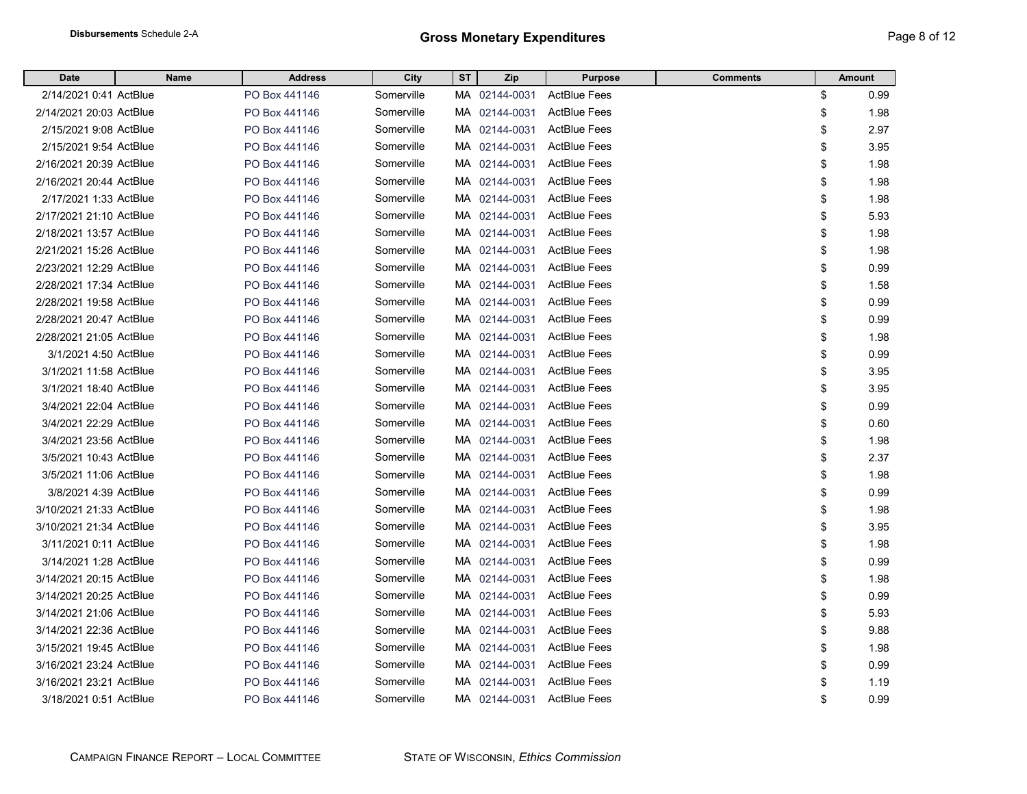| <b>Date</b>             | Name | <b>Address</b> | City       | <b>ST</b> | Zip           | <b>Purpose</b>      | <b>Comments</b> | <b>Amount</b> |      |
|-------------------------|------|----------------|------------|-----------|---------------|---------------------|-----------------|---------------|------|
| 2/14/2021 0:41 ActBlue  |      | PO Box 441146  | Somerville |           | MA 02144-0031 | <b>ActBlue Fees</b> | \$              |               | 0.99 |
| 2/14/2021 20:03 ActBlue |      | PO Box 441146  | Somerville |           | MA 02144-0031 | <b>ActBlue Fees</b> | \$              |               | 1.98 |
| 2/15/2021 9:08 ActBlue  |      | PO Box 441146  | Somerville |           | MA 02144-0031 | <b>ActBlue Fees</b> | \$              |               | 2.97 |
| 2/15/2021 9:54 ActBlue  |      | PO Box 441146  | Somerville |           | MA 02144-0031 | <b>ActBlue Fees</b> | \$              |               | 3.95 |
| 2/16/2021 20:39 ActBlue |      | PO Box 441146  | Somerville |           | MA 02144-0031 | <b>ActBlue Fees</b> | \$              |               | 1.98 |
| 2/16/2021 20:44 ActBlue |      | PO Box 441146  | Somerville |           | MA 02144-0031 | <b>ActBlue Fees</b> | \$              |               | 1.98 |
| 2/17/2021 1:33 ActBlue  |      | PO Box 441146  | Somerville |           | MA 02144-0031 | <b>ActBlue Fees</b> | \$              |               | 1.98 |
| 2/17/2021 21:10 ActBlue |      | PO Box 441146  | Somerville |           | MA 02144-0031 | <b>ActBlue Fees</b> | \$              |               | 5.93 |
| 2/18/2021 13:57 ActBlue |      | PO Box 441146  | Somerville |           | MA 02144-0031 | <b>ActBlue Fees</b> | \$              |               | 1.98 |
| 2/21/2021 15:26 ActBlue |      | PO Box 441146  | Somerville |           | MA 02144-0031 | <b>ActBlue Fees</b> | \$              |               | 1.98 |
| 2/23/2021 12:29 ActBlue |      | PO Box 441146  | Somerville |           | MA 02144-0031 | <b>ActBlue Fees</b> | \$              |               | 0.99 |
| 2/28/2021 17:34 ActBlue |      | PO Box 441146  | Somerville |           | MA 02144-0031 | <b>ActBlue Fees</b> | \$              |               | 1.58 |
| 2/28/2021 19:58 ActBlue |      | PO Box 441146  | Somerville |           | MA 02144-0031 | <b>ActBlue Fees</b> | \$              |               | 0.99 |
| 2/28/2021 20:47 ActBlue |      | PO Box 441146  | Somerville |           | MA 02144-0031 | <b>ActBlue Fees</b> | \$              |               | 0.99 |
| 2/28/2021 21:05 ActBlue |      | PO Box 441146  | Somerville | MA.       | 02144-0031    | <b>ActBlue Fees</b> | \$              |               | 1.98 |
| 3/1/2021 4:50 ActBlue   |      | PO Box 441146  | Somerville | MA.       | 02144-0031    | <b>ActBlue Fees</b> | \$              |               | 0.99 |
| 3/1/2021 11:58 ActBlue  |      | PO Box 441146  | Somerville | MA.       | 02144-0031    | <b>ActBlue Fees</b> | \$              |               | 3.95 |
| 3/1/2021 18:40 ActBlue  |      | PO Box 441146  | Somerville | MA.       | 02144-0031    | <b>ActBlue Fees</b> | \$              |               | 3.95 |
| 3/4/2021 22:04 ActBlue  |      | PO Box 441146  | Somerville | MA.       | 02144-0031    | <b>ActBlue Fees</b> | \$              |               | 0.99 |
| 3/4/2021 22:29 ActBlue  |      | PO Box 441146  | Somerville | MA.       | 02144-0031    | <b>ActBlue Fees</b> | \$              |               | 0.60 |
| 3/4/2021 23:56 ActBlue  |      | PO Box 441146  | Somerville | MA.       | 02144-0031    | <b>ActBlue Fees</b> | \$              |               | 1.98 |
| 3/5/2021 10:43 ActBlue  |      | PO Box 441146  | Somerville | MA.       | 02144-0031    | <b>ActBlue Fees</b> | \$              |               | 2.37 |
| 3/5/2021 11:06 ActBlue  |      | PO Box 441146  | Somerville | MA.       | 02144-0031    | <b>ActBlue Fees</b> | \$              |               | 1.98 |
| 3/8/2021 4:39 ActBlue   |      | PO Box 441146  | Somerville | MA.       | 02144-0031    | <b>ActBlue Fees</b> | \$              |               | 0.99 |
| 3/10/2021 21:33 ActBlue |      | PO Box 441146  | Somerville | MA.       | 02144-0031    | <b>ActBlue Fees</b> | \$              |               | 1.98 |
| 3/10/2021 21:34 ActBlue |      | PO Box 441146  | Somerville | MA.       | 02144-0031    | <b>ActBlue Fees</b> | \$              |               | 3.95 |
| 3/11/2021 0:11 ActBlue  |      | PO Box 441146  | Somerville | MA.       | 02144-0031    | <b>ActBlue Fees</b> | \$              |               | 1.98 |
| 3/14/2021 1:28 ActBlue  |      | PO Box 441146  | Somerville | MA.       | 02144-0031    | <b>ActBlue Fees</b> | \$              |               | 0.99 |
| 3/14/2021 20:15 ActBlue |      | PO Box 441146  | Somerville | MA.       | 02144-0031    | <b>ActBlue Fees</b> | \$              |               | 1.98 |
| 3/14/2021 20:25 ActBlue |      | PO Box 441146  | Somerville | MA.       | 02144-0031    | <b>ActBlue Fees</b> | \$              |               | 0.99 |
| 3/14/2021 21:06 ActBlue |      | PO Box 441146  | Somerville | MA.       | 02144-0031    | <b>ActBlue Fees</b> | \$              |               | 5.93 |
| 3/14/2021 22:36 ActBlue |      | PO Box 441146  | Somerville | MA.       | 02144-0031    | <b>ActBlue Fees</b> | \$              |               | 9.88 |
| 3/15/2021 19:45 ActBlue |      | PO Box 441146  | Somerville | MA.       | 02144-0031    | <b>ActBlue Fees</b> | \$              |               | 1.98 |
| 3/16/2021 23:24 ActBlue |      | PO Box 441146  | Somerville | MA.       | 02144-0031    | <b>ActBlue Fees</b> | \$              |               | 0.99 |
| 3/16/2021 23:21 ActBlue |      | PO Box 441146  | Somerville | MA.       | 02144-0031    | <b>ActBlue Fees</b> | \$              |               | 1.19 |
| 3/18/2021 0:51 ActBlue  |      | PO Box 441146  | Somerville |           | MA 02144-0031 | <b>ActBlue Fees</b> | \$              |               | 0.99 |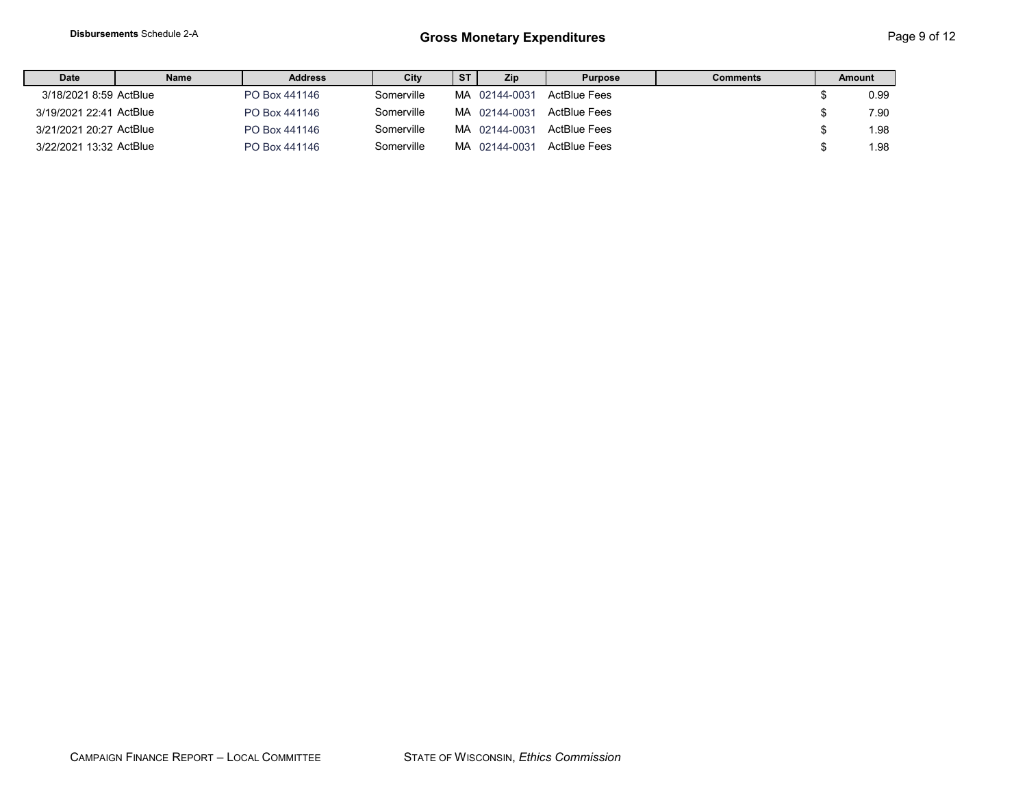| <b>Date</b>             | Name | <b>Address</b> | City       | ST | <b>Zip</b>    | <b>Purpose</b> | Comments | Amount |
|-------------------------|------|----------------|------------|----|---------------|----------------|----------|--------|
| 3/18/2021 8:59 ActBlue  |      | PO Box 441146  | Somerville |    | MA 02144-0031 | ActBlue Fees   |          | 0.99   |
| 3/19/2021 22:41 ActBlue |      | PO Box 441146  | Somerville |    | MA 02144-0031 | ActBlue Fees   |          | 7.90   |
| 3/21/2021 20:27 ActBlue |      | PO Box 441146  | Somerville |    | MA 02144-0031 | ActBlue Fees   |          | 1.98   |
| 3/22/2021 13:32 ActBlue |      | PO Box 441146  | Somerville |    | MA 02144-0031 | ActBlue Fees   |          | 1.98   |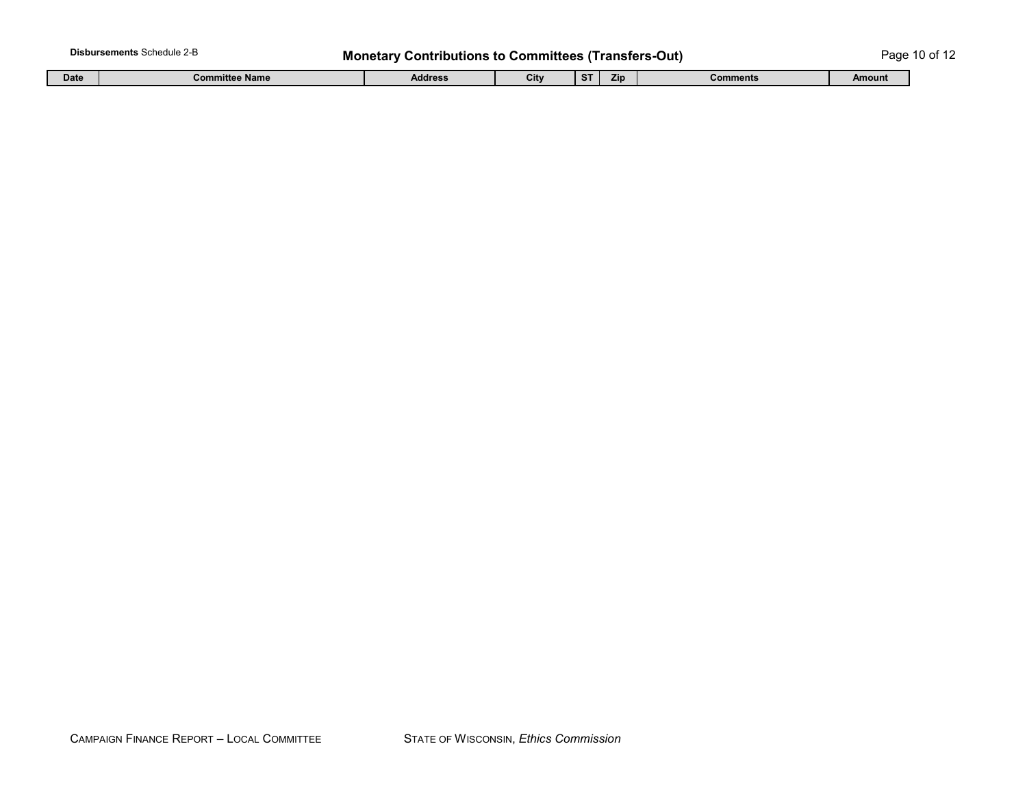## Disbursements Schedule 2-B **Monetary Contributions to Committees (Transfers-Out)** Page 10 of 12

| Date | Committee Name | Address | <b>City</b> | 7 <sub>in</sub> | <b>Comments</b> | Amount |
|------|----------------|---------|-------------|-----------------|-----------------|--------|
|      |                |         |             |                 |                 |        |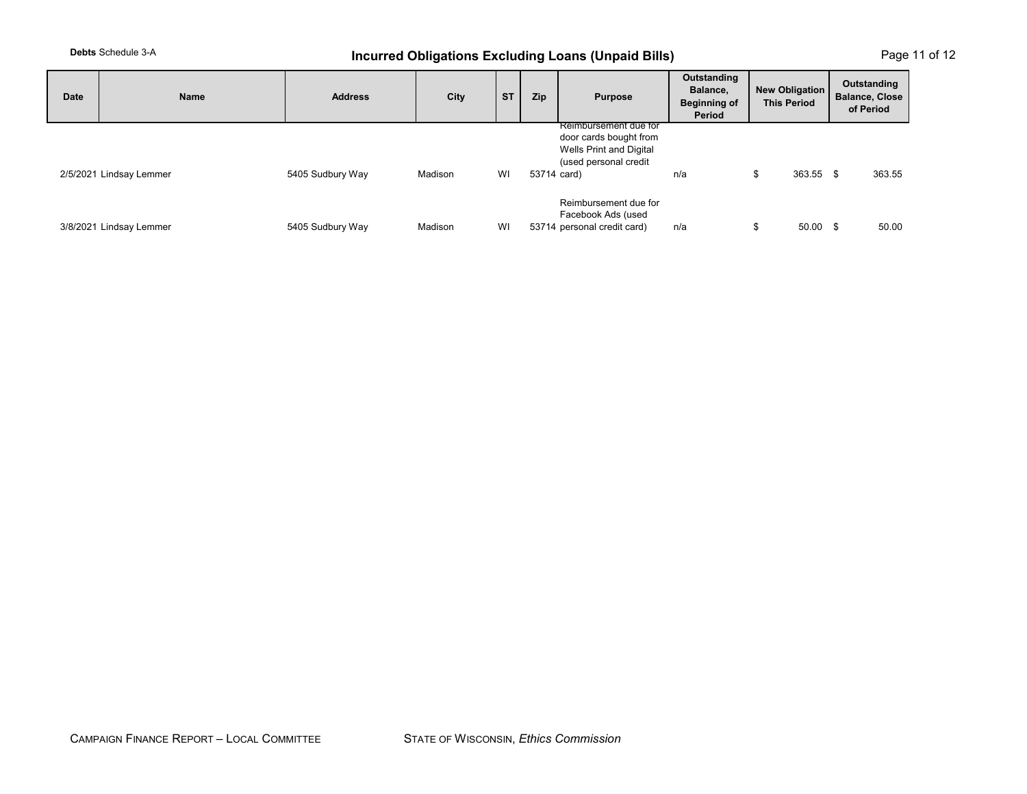## **Debts** Schedule 3-A *Incurred Obligations Excluding Loans (Unpaid Bills)* **Page 11 of 12**

| Date | Name                    | <b>Address</b>   | City    | <b>ST</b> | Zip         | <b>Purpose</b>                                                                                      | Outstanding<br>Balance,<br><b>Beginning of</b><br>Period | <b>New Obligation</b><br><b>This Period</b> | Outstanding<br><b>Balance, Close</b><br>of Period |
|------|-------------------------|------------------|---------|-----------|-------------|-----------------------------------------------------------------------------------------------------|----------------------------------------------------------|---------------------------------------------|---------------------------------------------------|
|      | 2/5/2021 Lindsay Lemmer | 5405 Sudbury Way | Madison | WI        | 53714 card) | Reimbursement due for<br>door cards bought from<br>Wells Print and Digital<br>(used personal credit | n/a                                                      | 363.55 \$<br>S                              | 363.55                                            |
|      | 3/8/2021 Lindsay Lemmer | 5405 Sudbury Way | Madison | WI        |             | Reimbursement due for<br>Facebook Ads (used<br>53714 personal credit card)                          | n/a                                                      | 50.00                                       | 50.00<br>\$                                       |